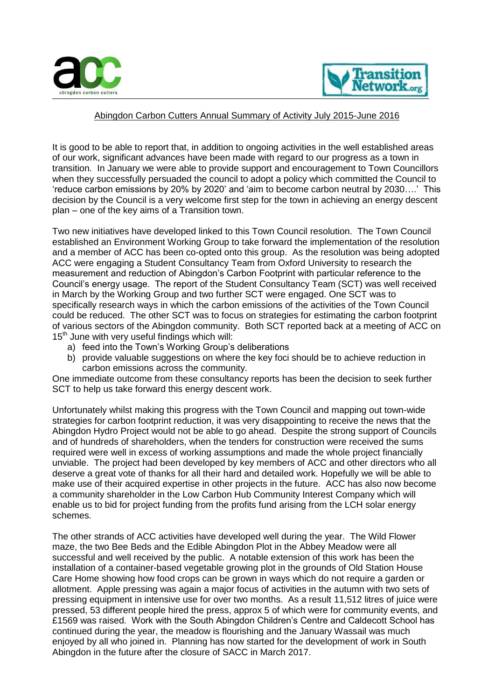



## Abingdon Carbon Cutters Annual Summary of Activity July 2015-June 2016

It is good to be able to report that, in addition to ongoing activities in the well established areas of our work, significant advances have been made with regard to our progress as a town in transition. In January we were able to provide support and encouragement to Town Councillors when they successfully persuaded the council to adopt a policy which committed the Council to 'reduce carbon emissions by 20% by 2020' and 'aim to become carbon neutral by 2030….' This decision by the Council is a very welcome first step for the town in achieving an energy descent plan – one of the key aims of a Transition town.

Two new initiatives have developed linked to this Town Council resolution. The Town Council established an Environment Working Group to take forward the implementation of the resolution and a member of ACC has been co-opted onto this group. As the resolution was being adopted ACC were engaging a Student Consultancy Team from Oxford University to research the measurement and reduction of Abingdon's Carbon Footprint with particular reference to the Council's energy usage. The report of the Student Consultancy Team (SCT) was well received in March by the Working Group and two further SCT were engaged. One SCT was to specifically research ways in which the carbon emissions of the activities of the Town Council could be reduced. The other SCT was to focus on strategies for estimating the carbon footprint of various sectors of the Abingdon community. Both SCT reported back at a meeting of ACC on  $15<sup>th</sup>$  June with very useful findings which will:

- a) feed into the Town's Working Group's deliberations
- b) provide valuable suggestions on where the key foci should be to achieve reduction in carbon emissions across the community.

One immediate outcome from these consultancy reports has been the decision to seek further SCT to help us take forward this energy descent work.

Unfortunately whilst making this progress with the Town Council and mapping out town-wide strategies for carbon footprint reduction, it was very disappointing to receive the news that the Abingdon Hydro Project would not be able to go ahead. Despite the strong support of Councils and of hundreds of shareholders, when the tenders for construction were received the sums required were well in excess of working assumptions and made the whole project financially unviable. The project had been developed by key members of ACC and other directors who all deserve a great vote of thanks for all their hard and detailed work. Hopefully we will be able to make use of their acquired expertise in other projects in the future. ACC has also now become a community shareholder in the Low Carbon Hub Community Interest Company which will enable us to bid for project funding from the profits fund arising from the LCH solar energy schemes.

The other strands of ACC activities have developed well during the year. The Wild Flower maze, the two Bee Beds and the Edible Abingdon Plot in the Abbey Meadow were all successful and well received by the public. A notable extension of this work has been the installation of a container-based vegetable growing plot in the grounds of Old Station House Care Home showing how food crops can be grown in ways which do not require a garden or allotment. Apple pressing was again a major focus of activities in the autumn with two sets of pressing equipment in intensive use for over two months. As a result 11,512 litres of juice were pressed, 53 different people hired the press, approx 5 of which were for community events, and £1569 was raised. Work with the South Abingdon Children's Centre and Caldecott School has continued during the year, the meadow is flourishing and the January Wassail was much enjoyed by all who joined in. Planning has now started for the development of work in South Abingdon in the future after the closure of SACC in March 2017.